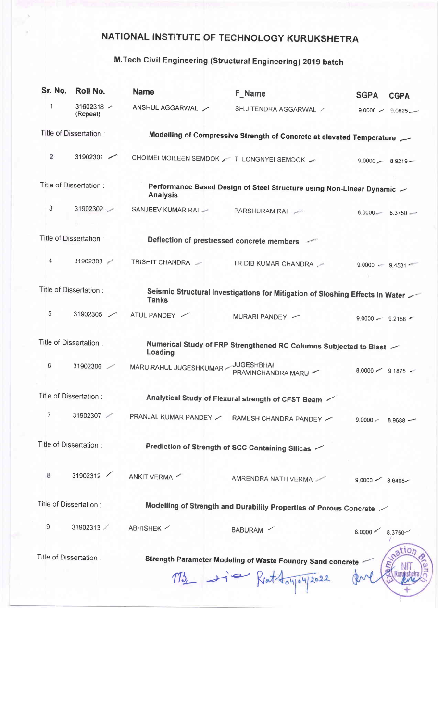## NATIONAL INSTITUTE OF TECHNOLOGY KURUKSHETRA

## M.Tech Civil Engineering (Structural Engineering) 2019 batch

| Sr. No.                | Roll No.                    | <b>Name</b>                                                                                    | F Name                                                                             | <b>SGPA</b><br><b>CGPA</b>    |  |  |  |
|------------------------|-----------------------------|------------------------------------------------------------------------------------------------|------------------------------------------------------------------------------------|-------------------------------|--|--|--|
| 1                      | 31602318 $\sim$<br>(Repeat) | ANSHUL AGGARWAL                                                                                | SH.JITENDRA AGGARWAL /                                                             | $9.0000 - 9.0625$             |  |  |  |
| Title of Dissertation: |                             | Modelling of Compressive Strength of Concrete at elevated Temperature                          |                                                                                    |                               |  |  |  |
| $\overline{2}$         | 31902301                    | CHOIMEI MOILEEN SEMDOK / T. LONGNYEI SEMDOK /                                                  |                                                                                    | $9.0000 \sim 8.9219 -$        |  |  |  |
| Title of Dissertation: |                             | Performance Based Design of Steel Structure using Non-Linear Dynamic $\sim$<br><b>Analysis</b> |                                                                                    |                               |  |  |  |
| 3                      | 31902302                    | SANJEEV KUMAR RAI -                                                                            | PARSHURAM RAI                                                                      | $8.0000 - 8.3750 -$           |  |  |  |
|                        | Title of Dissertation:      |                                                                                                | Deflection of prestressed concrete members                                         |                               |  |  |  |
| 4                      | 31902303                    | TRISHIT CHANDRA -                                                                              | TRIDIB KUMAR CHANDRA                                                               | $9.0000 - 9.4531$             |  |  |  |
| Title of Dissertation: |                             | Seismic Structural Investigations for Mitigation of Sloshing Effects in Water<br><b>Tanks</b>  |                                                                                    |                               |  |  |  |
| 5                      | 31902305                    | ATUL PANDEY                                                                                    | MURARI PANDEY -                                                                    | $9.0000 - 9.2188$             |  |  |  |
| Title of Dissertation: |                             | Numerical Study of FRP Strengthened RC Columns Subjected to Blast $\sim$<br>Loading            |                                                                                    |                               |  |  |  |
| 6                      | 31902306                    | MARU RAHUL JUGESHKUMAR                                                                         | <b>JUGESHBHAI</b><br>PRAVINCHANDRA MARU -                                          | $8.0000 - 9.1875 -$           |  |  |  |
| Title of Dissertation: |                             | Analytical Study of Flexural strength of CFST Beam                                             |                                                                                    |                               |  |  |  |
| 7                      | 31902307                    | PRANJAL KUMAR PANDEY                                                                           | RAMESH CHANDRA PANDEY                                                              | 9.0000 <<br>8.9688            |  |  |  |
| Title of Dissertation: |                             | Prediction of Strength of SCC Containing Silicas $\checkmark$                                  |                                                                                    |                               |  |  |  |
| 8                      | 31902312                    | ANKIT VERMA                                                                                    | AMRENDRA NATH VERMA                                                                | $9.0000 - 8.6406 -$           |  |  |  |
| Title of Dissertation: |                             | Modelling of Strength and Durability Properties of Porous Concrete /                           |                                                                                    |                               |  |  |  |
| 9                      | 31902313                    | ABHISHEK /                                                                                     | BABURAM /                                                                          | $8.0000$ $\leq$<br>$8.3750 -$ |  |  |  |
|                        | Title of Dissertation :     |                                                                                                | Strength Parameter Modeling of Waste Foundry Sand concrete<br>M3 - - Rettoyou 2022 | ation                         |  |  |  |